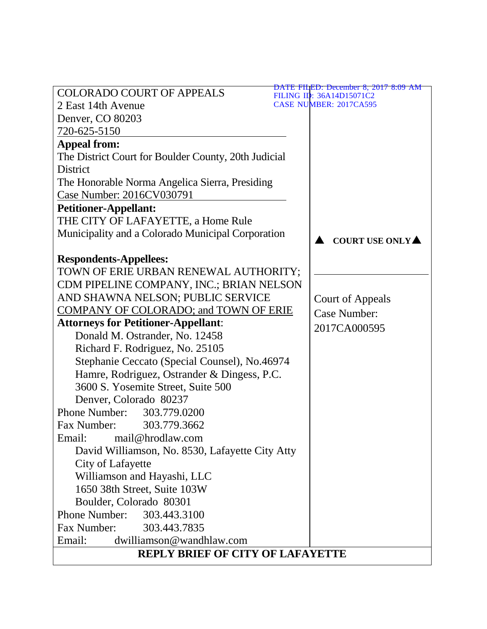| <b>COLORADO COURT OF APPEALS</b>                     | <u>DATE FILED: December 8, 2017 8:09 AM</u><br>FILING ID: 36A14D15071C2 |  |  |  |
|------------------------------------------------------|-------------------------------------------------------------------------|--|--|--|
| 2 East 14th Avenue                                   | <b>CASE NUMBER: 2017CA595</b>                                           |  |  |  |
| Denver, CO 80203                                     |                                                                         |  |  |  |
| 720-625-5150                                         |                                                                         |  |  |  |
| <b>Appeal from:</b>                                  |                                                                         |  |  |  |
| The District Court for Boulder County, 20th Judicial |                                                                         |  |  |  |
| <b>District</b>                                      |                                                                         |  |  |  |
| The Honorable Norma Angelica Sierra, Presiding       |                                                                         |  |  |  |
| Case Number: 2016CV030791                            |                                                                         |  |  |  |
| <b>Petitioner-Appellant:</b>                         |                                                                         |  |  |  |
| THE CITY OF LAFAYETTE, a Home Rule                   |                                                                         |  |  |  |
| Municipality and a Colorado Municipal Corporation    | COURT USE ONLY                                                          |  |  |  |
|                                                      |                                                                         |  |  |  |
| <b>Respondents-Appellees:</b>                        |                                                                         |  |  |  |
| TOWN OF ERIE URBAN RENEWAL AUTHORITY;                |                                                                         |  |  |  |
| CDM PIPELINE COMPANY, INC.; BRIAN NELSON             |                                                                         |  |  |  |
| AND SHAWNA NELSON; PUBLIC SERVICE                    | <b>Court of Appeals</b>                                                 |  |  |  |
| COMPANY OF COLORADO; and TOWN OF ERIE                | <b>Case Number:</b>                                                     |  |  |  |
| <b>Attorneys for Petitioner-Appellant:</b>           | 2017CA000595                                                            |  |  |  |
| Donald M. Ostrander, No. 12458                       |                                                                         |  |  |  |
| Richard F. Rodriguez, No. 25105                      |                                                                         |  |  |  |
| Stephanie Ceccato (Special Counsel), No.46974        |                                                                         |  |  |  |
| Hamre, Rodriguez, Ostrander & Dingess, P.C.          |                                                                         |  |  |  |
| 3600 S. Yosemite Street, Suite 500                   |                                                                         |  |  |  |
| Denver, Colorado 80237                               |                                                                         |  |  |  |
| Phone Number:<br>303.779.0200                        |                                                                         |  |  |  |
| Fax Number:<br>303.779.3662                          |                                                                         |  |  |  |
| Email: mail@hrodlaw.com                              |                                                                         |  |  |  |
| David Williamson, No. 8530, Lafayette City Atty      |                                                                         |  |  |  |
| City of Lafayette                                    |                                                                         |  |  |  |
| Williamson and Hayashi, LLC                          |                                                                         |  |  |  |
| 1650 38th Street, Suite 103W                         |                                                                         |  |  |  |
| Boulder, Colorado 80301                              |                                                                         |  |  |  |
| <b>Phone Number:</b><br>303.443.3100                 |                                                                         |  |  |  |
| Fax Number:<br>303.443.7835                          |                                                                         |  |  |  |
| Email:<br>dwilliamson@wandhlaw.com                   |                                                                         |  |  |  |
| <b>REPLY BRIEF OF CITY OF LAFAYETTE</b>              |                                                                         |  |  |  |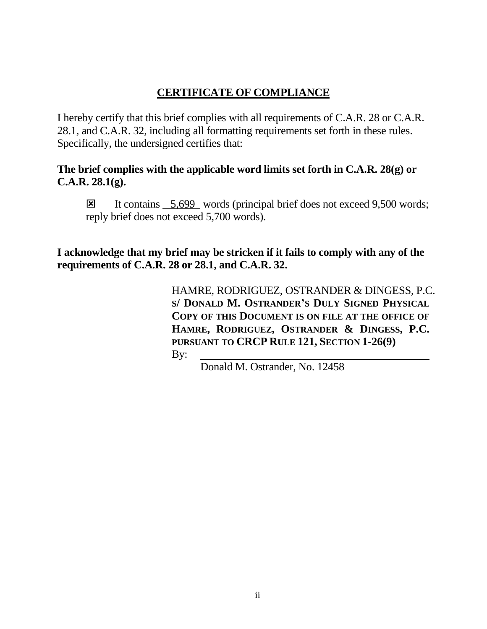# **CERTIFICATE OF COMPLIANCE**

I hereby certify that this brief complies with all requirements of C.A.R. 28 or C.A.R. 28.1, and C.A.R. 32, including all formatting requirements set forth in these rules. Specifically, the undersigned certifies that:

## **The brief complies with the applicable word limits set forth in C.A.R. 28(g) or C.A.R. 28.1(g).**

It contains  $\frac{5,699}{ }$  words (principal brief does not exceed 9,500 words; reply brief does not exceed 5,700 words).

**I acknowledge that my brief may be stricken if it fails to comply with any of the requirements of C.A.R. 28 or 28.1, and C.A.R. 32.**

> HAMRE, RODRIGUEZ, OSTRANDER & DINGESS, P.C. **S/ DONALD M. OSTRANDER'S DULY SIGNED PHYSICAL COPY OF THIS DOCUMENT IS ON FILE AT THE OFFICE OF HAMRE, RODRIGUEZ, OSTRANDER & DINGESS, P.C. PURSUANT TO CRCP RULE 121, SECTION 1-26(9)** By:

> > Donald M. Ostrander, No. 12458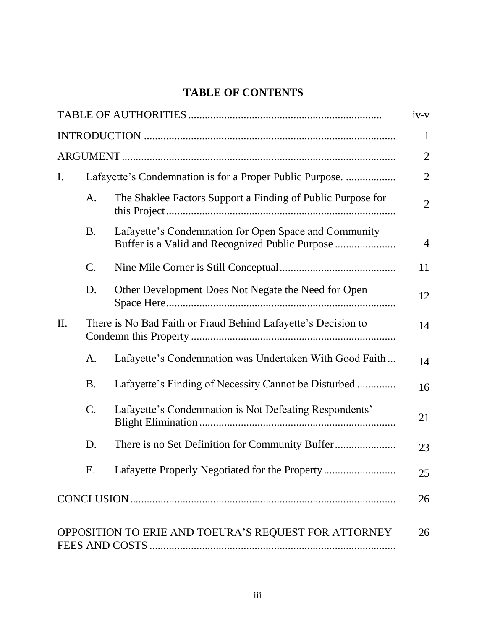# **TABLE OF CONTENTS**

|     |           |                                                                                                          | $iv-v$         |
|-----|-----------|----------------------------------------------------------------------------------------------------------|----------------|
|     |           |                                                                                                          | $\mathbf{1}$   |
|     |           |                                                                                                          | $\overline{2}$ |
| I.  |           | Lafayette's Condemnation is for a Proper Public Purpose.                                                 | $\overline{2}$ |
|     | A.        | The Shaklee Factors Support a Finding of Public Purpose for                                              | $\overline{2}$ |
|     | <b>B.</b> | Lafayette's Condemnation for Open Space and Community<br>Buffer is a Valid and Recognized Public Purpose | $\overline{4}$ |
|     | C.        |                                                                                                          | 11             |
|     | D.        | Other Development Does Not Negate the Need for Open                                                      | 12             |
| II. |           | There is No Bad Faith or Fraud Behind Lafayette's Decision to                                            | 14             |
|     | A.        | Lafayette's Condemnation was Undertaken With Good Faith                                                  | 14             |
|     | <b>B.</b> | Lafayette's Finding of Necessity Cannot be Disturbed                                                     | 16             |
|     | C.        | Lafayette's Condemnation is Not Defeating Respondents'                                                   | 21             |
|     | D.        |                                                                                                          | 23             |
|     | Ε.        | Lafayette Properly Negotiated for the Property                                                           | 25             |
|     |           |                                                                                                          | 26             |
|     |           | OPPOSITION TO ERIE AND TOEURA'S REQUEST FOR ATTORNEY                                                     | 26             |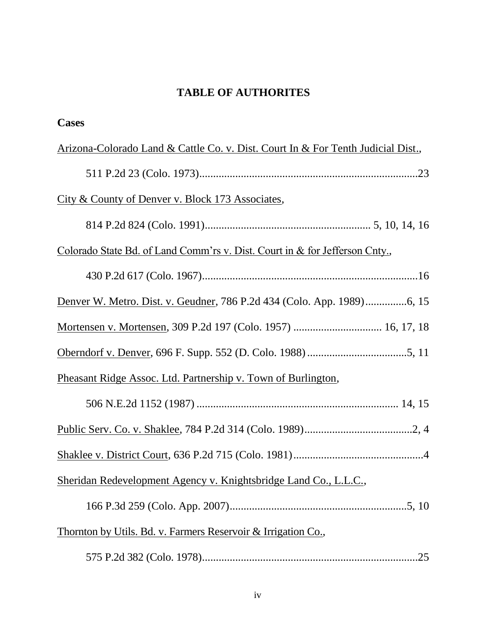# **TABLE OF AUTHORITES**

| <b>Cases</b>                                                                                   |
|------------------------------------------------------------------------------------------------|
| <u>Arizona-Colorado Land &amp; Cattle Co. v. Dist. Court In &amp; For Tenth Judicial Dist.</u> |
|                                                                                                |
| City & County of Denver v. Block 173 Associates,                                               |
|                                                                                                |
| Colorado State Bd. of Land Comm'rs v. Dist. Court in & for Jefferson Cnty.,                    |
|                                                                                                |
|                                                                                                |
| Mortensen v. Mortensen, 309 P.2d 197 (Colo. 1957)  16, 17, 18                                  |
|                                                                                                |
| Pheasant Ridge Assoc. Ltd. Partnership v. Town of Burlington,                                  |
|                                                                                                |
|                                                                                                |
|                                                                                                |
| Sheridan Redevelopment Agency v. Knightsbridge Land Co., L.L.C.,                               |
|                                                                                                |
| Thornton by Utils. Bd. v. Farmers Reservoir & Irrigation Co.,                                  |
|                                                                                                |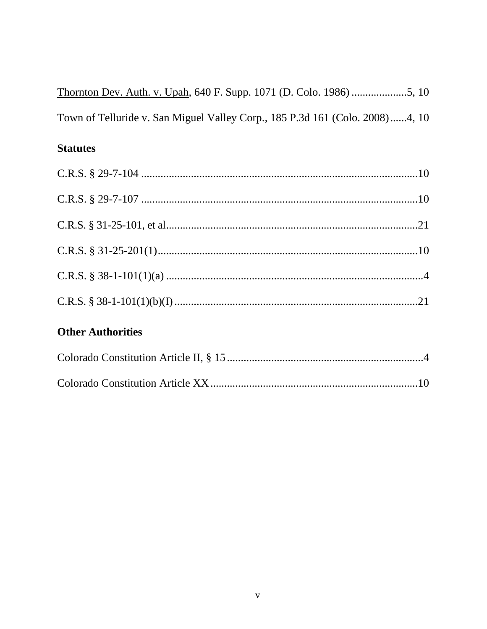| Town of Telluride v. San Miguel Valley Corp., 185 P.3d 161 (Colo. 2008)4, 10 |  |
|------------------------------------------------------------------------------|--|

# **Statutes**

# **Other Authorities**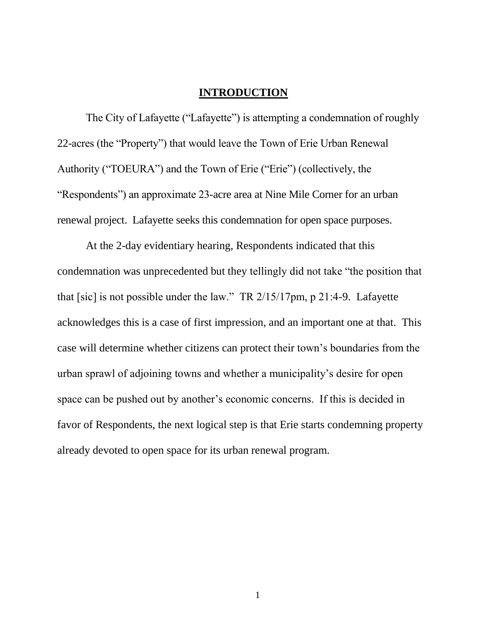#### **INTRODUCTION**

The City of Lafayette ("Lafayette") is attempting a condemnation of roughly 22-acres (the "Property") that would leave the Town of Erie Urban Renewal Authority ("TOEURA") and the Town of Erie ("Erie") (collectively, the "Respondents") an approximate 23-acre area at Nine Mile Corner for an urban renewal project. Lafayette seeks this condemnation for open space purposes.

At the 2-day evidentiary hearing, Respondents indicated that this condemnation was unprecedented but they tellingly did not take "the position that that [sic] is not possible under the law." TR 2/15/17pm, p 21:4-9. Lafayette acknowledges this is a case of first impression, and an important one at that. This case will determine whether citizens can protect their town's boundaries from the urban sprawl of adjoining towns and whether a municipality's desire for open space can be pushed out by another's economic concerns. If this is decided in favor of Respondents, the next logical step is that Erie starts condemning property already devoted to open space for its urban renewal program.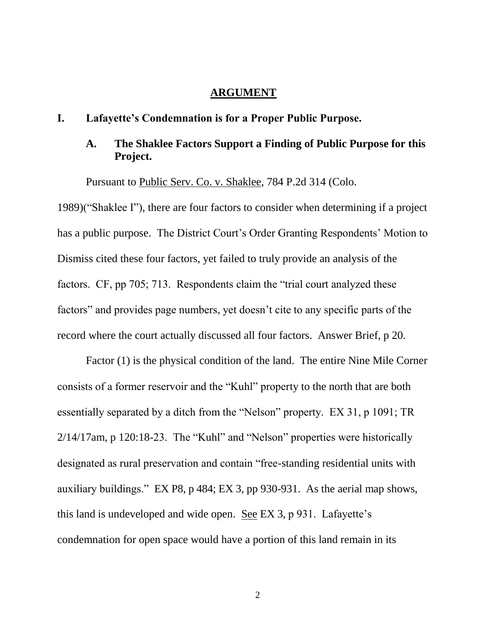#### **ARGUMENT**

#### **I. Lafayette's Condemnation is for a Proper Public Purpose.**

### **A. The Shaklee Factors Support a Finding of Public Purpose for this Project.**

Pursuant to Public Serv. Co. v. Shaklee, 784 P.2d 314 (Colo.

1989)("Shaklee I"), there are four factors to consider when determining if a project has a public purpose. The District Court's Order Granting Respondents' Motion to Dismiss cited these four factors, yet failed to truly provide an analysis of the factors. CF, pp 705; 713. Respondents claim the "trial court analyzed these factors" and provides page numbers, yet doesn't cite to any specific parts of the record where the court actually discussed all four factors. Answer Brief, p 20.

Factor (1) is the physical condition of the land. The entire Nine Mile Corner consists of a former reservoir and the "Kuhl" property to the north that are both essentially separated by a ditch from the "Nelson" property. EX 31, p 1091; TR 2/14/17am, p 120:18-23. The "Kuhl" and "Nelson" properties were historically designated as rural preservation and contain "free-standing residential units with auxiliary buildings." EX P8, p 484; EX 3, pp 930-931. As the aerial map shows, this land is undeveloped and wide open. See EX 3, p 931. Lafayette's condemnation for open space would have a portion of this land remain in its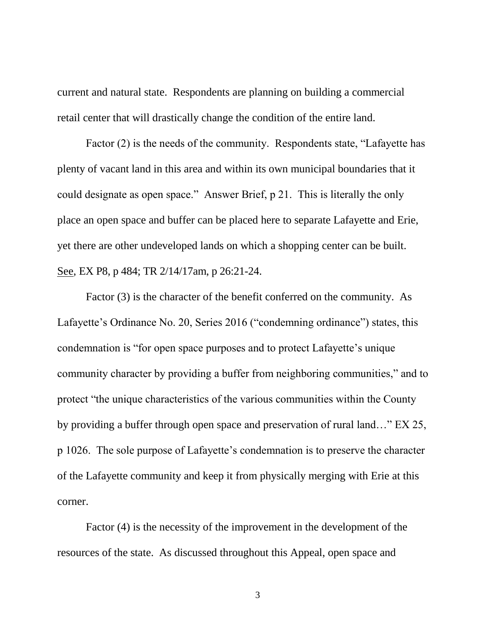current and natural state. Respondents are planning on building a commercial retail center that will drastically change the condition of the entire land.

Factor (2) is the needs of the community. Respondents state, "Lafayette has plenty of vacant land in this area and within its own municipal boundaries that it could designate as open space." Answer Brief, p 21. This is literally the only place an open space and buffer can be placed here to separate Lafayette and Erie, yet there are other undeveloped lands on which a shopping center can be built. See, EX P8, p 484; TR 2/14/17am, p 26:21-24.

Factor (3) is the character of the benefit conferred on the community. As Lafayette's Ordinance No. 20, Series 2016 ("condemning ordinance") states, this condemnation is "for open space purposes and to protect Lafayette's unique community character by providing a buffer from neighboring communities," and to protect "the unique characteristics of the various communities within the County by providing a buffer through open space and preservation of rural land…" EX 25, p 1026. The sole purpose of Lafayette's condemnation is to preserve the character of the Lafayette community and keep it from physically merging with Erie at this corner.

Factor (4) is the necessity of the improvement in the development of the resources of the state. As discussed throughout this Appeal, open space and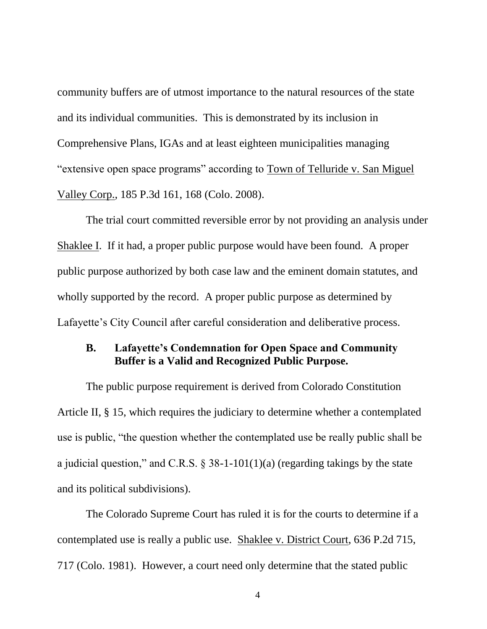community buffers are of utmost importance to the natural resources of the state and its individual communities. This is demonstrated by its inclusion in Comprehensive Plans, IGAs and at least eighteen municipalities managing "extensive open space programs" according to Town of Telluride v. San Miguel Valley Corp., 185 P.3d 161, 168 (Colo. 2008).

The trial court committed reversible error by not providing an analysis under Shaklee I. If it had, a proper public purpose would have been found. A proper public purpose authorized by both case law and the eminent domain statutes, and wholly supported by the record. A proper public purpose as determined by Lafayette's City Council after careful consideration and deliberative process.

#### **B. Lafayette's Condemnation for Open Space and Community Buffer is a Valid and Recognized Public Purpose.**

The public purpose requirement is derived from Colorado Constitution Article II, § 15, which requires the judiciary to determine whether a contemplated use is public, "the question whether the contemplated use be really public shall be a judicial question," and C.R.S.  $\S$  38-1-101(1)(a) (regarding takings by the state and its political subdivisions).

The Colorado Supreme Court has ruled it is for the courts to determine if a contemplated use is really a public use. Shaklee v. District Court, 636 P.2d 715, 717 (Colo. 1981). However, a court need only determine that the stated public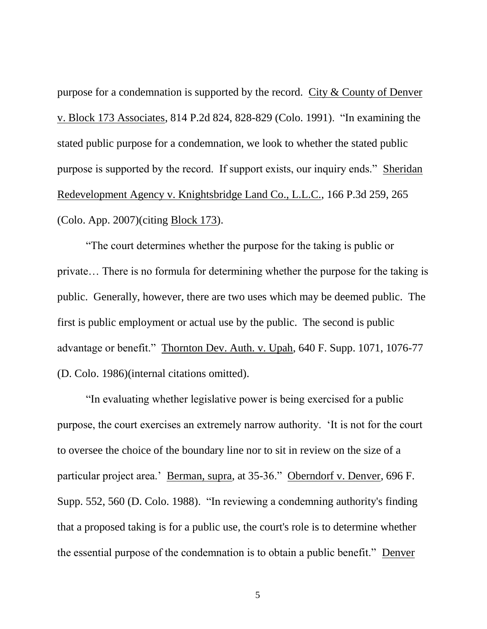purpose for a condemnation is supported by the record. City & County of Denver v. Block 173 Associates, 814 P.2d 824, 828-829 (Colo. 1991). "In examining the stated public purpose for a condemnation, we look to whether the stated public purpose is supported by the record. If support exists, our inquiry ends." Sheridan Redevelopment Agency v. Knightsbridge Land Co., L.L.C., 166 P.3d 259, 265 (Colo. App. 2007)(citing Block 173).

"The court determines whether the purpose for the taking is public or private… There is no formula for determining whether the purpose for the taking is public. Generally, however, there are two uses which may be deemed public. The first is public employment or actual use by the public. The second is public advantage or benefit." Thornton Dev. Auth. v. Upah, 640 F. Supp. 1071, 1076-77 (D. Colo. 1986)(internal citations omitted).

"In evaluating whether legislative power is being exercised for a public purpose, the court exercises an extremely narrow authority. 'It is not for the court to oversee the choice of the boundary line nor to sit in review on the size of a particular project area.' Berman, supra, at 35-36." Oberndorf v. Denver, 696 F. Supp. 552, 560 (D. Colo. 1988). "In reviewing a condemning authority's finding that a proposed taking is for a public use, the court's role is to determine whether the essential purpose of the condemnation is to obtain a public benefit." Denver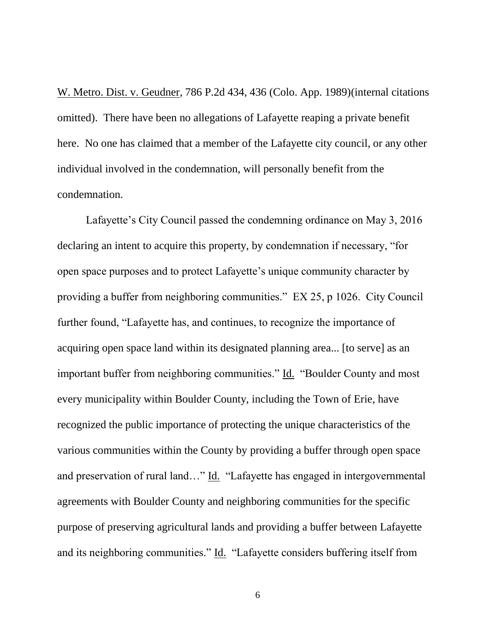W. Metro. Dist. v. Geudner, 786 P.2d 434, 436 (Colo. App. 1989)(internal citations omitted). There have been no allegations of Lafayette reaping a private benefit here. No one has claimed that a member of the Lafayette city council, or any other individual involved in the condemnation, will personally benefit from the condemnation.

Lafayette's City Council passed the condemning ordinance on May 3, 2016 declaring an intent to acquire this property, by condemnation if necessary, "for open space purposes and to protect Lafayette's unique community character by providing a buffer from neighboring communities." EX 25, p 1026. City Council further found, "Lafayette has, and continues, to recognize the importance of acquiring open space land within its designated planning area... [to serve] as an important buffer from neighboring communities." Id. "Boulder County and most every municipality within Boulder County, including the Town of Erie, have recognized the public importance of protecting the unique characteristics of the various communities within the County by providing a buffer through open space and preservation of rural land…" Id. "Lafayette has engaged in intergovernmental agreements with Boulder County and neighboring communities for the specific purpose of preserving agricultural lands and providing a buffer between Lafayette and its neighboring communities." Id. "Lafayette considers buffering itself from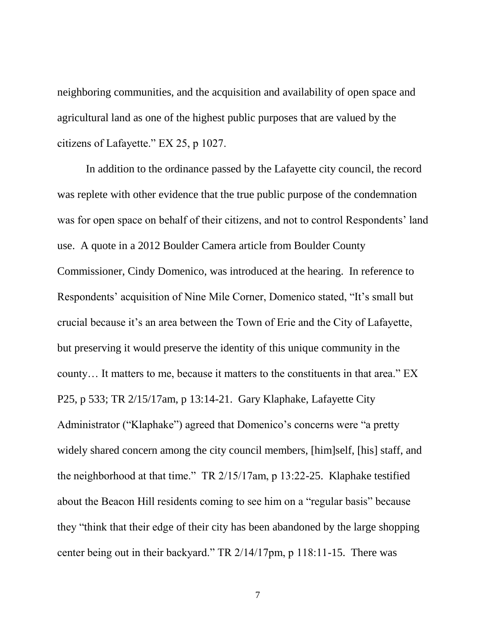neighboring communities, and the acquisition and availability of open space and agricultural land as one of the highest public purposes that are valued by the citizens of Lafayette." EX 25, p 1027.

In addition to the ordinance passed by the Lafayette city council, the record was replete with other evidence that the true public purpose of the condemnation was for open space on behalf of their citizens, and not to control Respondents' land use. A quote in a 2012 Boulder Camera article from Boulder County Commissioner, Cindy Domenico, was introduced at the hearing. In reference to Respondents' acquisition of Nine Mile Corner, Domenico stated, "It's small but crucial because it's an area between the Town of Erie and the City of Lafayette, but preserving it would preserve the identity of this unique community in the county… It matters to me, because it matters to the constituents in that area." EX P25, p 533; TR 2/15/17am, p 13:14-21. Gary Klaphake, Lafayette City Administrator ("Klaphake") agreed that Domenico's concerns were "a pretty widely shared concern among the city council members, [him]self, [his] staff, and the neighborhood at that time." TR 2/15/17am, p 13:22-25. Klaphake testified about the Beacon Hill residents coming to see him on a "regular basis" because they "think that their edge of their city has been abandoned by the large shopping center being out in their backyard." TR 2/14/17pm, p 118:11-15. There was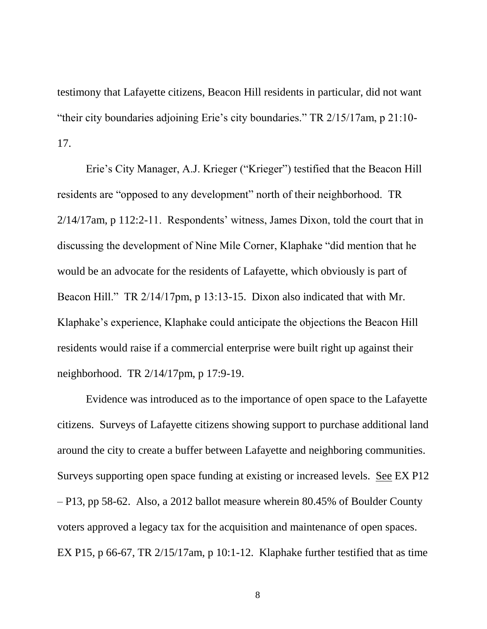testimony that Lafayette citizens, Beacon Hill residents in particular, did not want "their city boundaries adjoining Erie's city boundaries." TR 2/15/17am, p 21:10- 17.

Erie's City Manager, A.J. Krieger ("Krieger") testified that the Beacon Hill residents are "opposed to any development" north of their neighborhood. TR 2/14/17am, p 112:2-11. Respondents' witness, James Dixon, told the court that in discussing the development of Nine Mile Corner, Klaphake "did mention that he would be an advocate for the residents of Lafayette, which obviously is part of Beacon Hill." TR 2/14/17pm, p 13:13-15. Dixon also indicated that with Mr. Klaphake's experience, Klaphake could anticipate the objections the Beacon Hill residents would raise if a commercial enterprise were built right up against their neighborhood. TR 2/14/17pm, p 17:9-19.

Evidence was introduced as to the importance of open space to the Lafayette citizens. Surveys of Lafayette citizens showing support to purchase additional land around the city to create a buffer between Lafayette and neighboring communities. Surveys supporting open space funding at existing or increased levels. See EX P12 – P13, pp 58-62. Also, a 2012 ballot measure wherein 80.45% of Boulder County voters approved a legacy tax for the acquisition and maintenance of open spaces. EX P15, p 66-67, TR 2/15/17am, p 10:1-12. Klaphake further testified that as time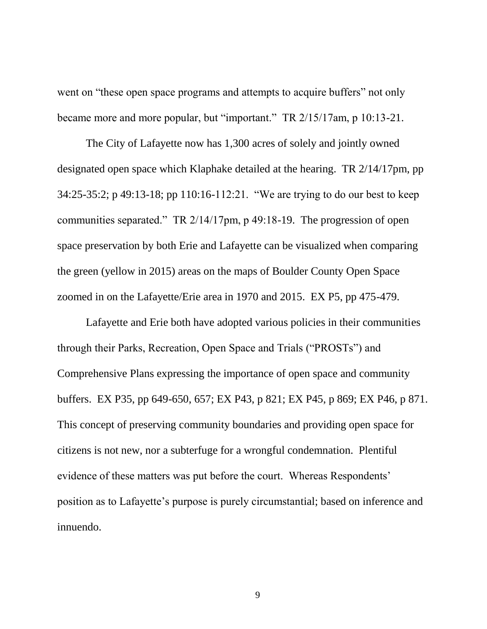went on "these open space programs and attempts to acquire buffers" not only became more and more popular, but "important." TR 2/15/17am, p 10:13-21.

The City of Lafayette now has 1,300 acres of solely and jointly owned designated open space which Klaphake detailed at the hearing. TR 2/14/17pm, pp 34:25-35:2; p 49:13-18; pp 110:16-112:21. "We are trying to do our best to keep communities separated." TR 2/14/17pm, p 49:18-19. The progression of open space preservation by both Erie and Lafayette can be visualized when comparing the green (yellow in 2015) areas on the maps of Boulder County Open Space zoomed in on the Lafayette/Erie area in 1970 and 2015. EX P5, pp 475-479.

Lafayette and Erie both have adopted various policies in their communities through their Parks, Recreation, Open Space and Trials ("PROSTs") and Comprehensive Plans expressing the importance of open space and community buffers. EX P35, pp 649-650, 657; EX P43, p 821; EX P45, p 869; EX P46, p 871. This concept of preserving community boundaries and providing open space for citizens is not new, nor a subterfuge for a wrongful condemnation. Plentiful evidence of these matters was put before the court. Whereas Respondents' position as to Lafayette's purpose is purely circumstantial; based on inference and innuendo.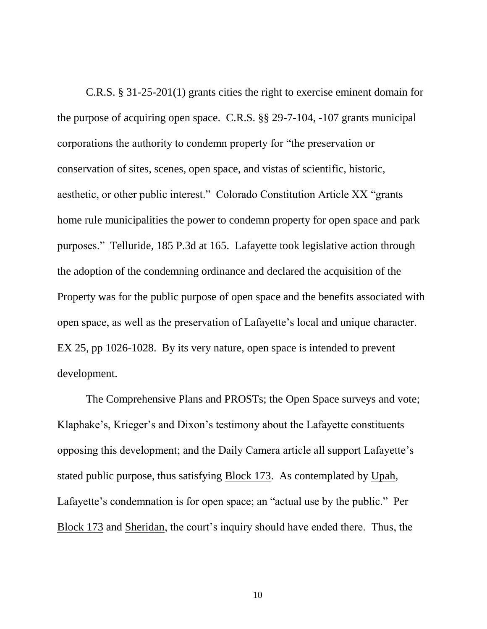C.R.S. § 31-25-201(1) grants cities the right to exercise eminent domain for the purpose of acquiring open space. C.R.S. §§ 29-7-104, -107 grants municipal corporations the authority to condemn property for "the preservation or conservation of sites, scenes, open space, and vistas of scientific, historic, aesthetic, or other public interest." Colorado Constitution Article XX "grants home rule municipalities the power to condemn property for open space and park purposes." Telluride, 185 P.3d at 165. Lafayette took legislative action through the adoption of the condemning ordinance and declared the acquisition of the Property was for the public purpose of open space and the benefits associated with open space, as well as the preservation of Lafayette's local and unique character. EX 25, pp 1026-1028. By its very nature, open space is intended to prevent development.

The Comprehensive Plans and PROSTs; the Open Space surveys and vote; Klaphake's, Krieger's and Dixon's testimony about the Lafayette constituents opposing this development; and the Daily Camera article all support Lafayette's stated public purpose, thus satisfying Block 173. As contemplated by Upah, Lafayette's condemnation is for open space; an "actual use by the public." Per Block 173 and Sheridan, the court's inquiry should have ended there. Thus, the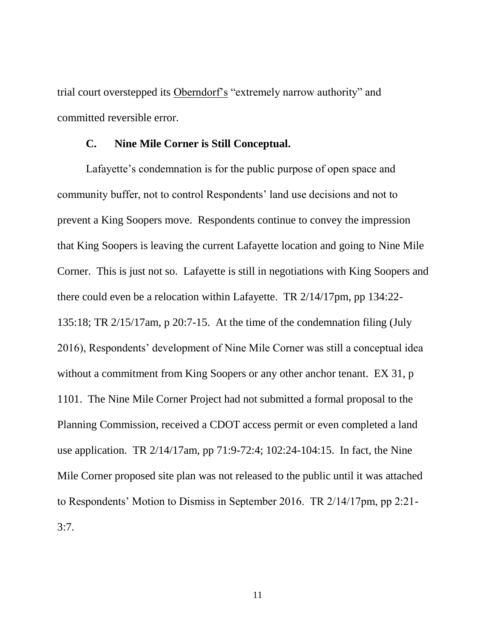trial court overstepped its Oberndorf's "extremely narrow authority" and committed reversible error.

#### **C. Nine Mile Corner is Still Conceptual.**

Lafayette's condemnation is for the public purpose of open space and community buffer, not to control Respondents' land use decisions and not to prevent a King Soopers move. Respondents continue to convey the impression that King Soopers is leaving the current Lafayette location and going to Nine Mile Corner. This is just not so. Lafayette is still in negotiations with King Soopers and there could even be a relocation within Lafayette. TR 2/14/17pm, pp 134:22- 135:18; TR 2/15/17am, p 20:7-15. At the time of the condemnation filing (July 2016), Respondents' development of Nine Mile Corner was still a conceptual idea without a commitment from King Soopers or any other anchor tenant. EX 31, p 1101. The Nine Mile Corner Project had not submitted a formal proposal to the Planning Commission, received a CDOT access permit or even completed a land use application. TR 2/14/17am, pp 71:9-72:4; 102:24-104:15. In fact, the Nine Mile Corner proposed site plan was not released to the public until it was attached to Respondents' Motion to Dismiss in September 2016. TR 2/14/17pm, pp 2:21- 3:7.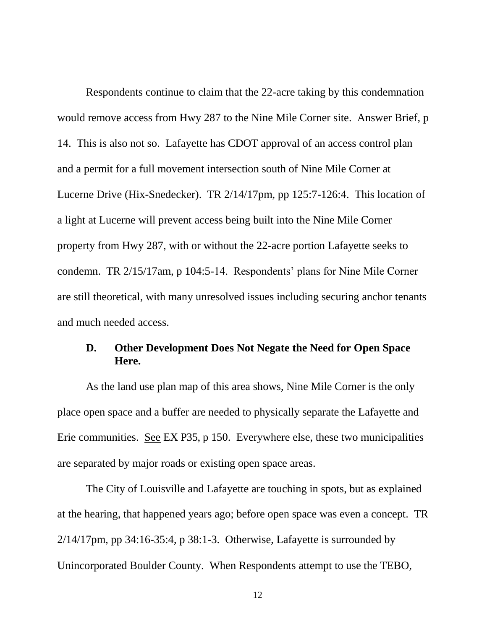Respondents continue to claim that the 22-acre taking by this condemnation would remove access from Hwy 287 to the Nine Mile Corner site. Answer Brief, p 14. This is also not so. Lafayette has CDOT approval of an access control plan and a permit for a full movement intersection south of Nine Mile Corner at Lucerne Drive (Hix-Snedecker). TR 2/14/17pm, pp 125:7-126:4. This location of a light at Lucerne will prevent access being built into the Nine Mile Corner property from Hwy 287, with or without the 22-acre portion Lafayette seeks to condemn. TR 2/15/17am, p 104:5-14. Respondents' plans for Nine Mile Corner are still theoretical, with many unresolved issues including securing anchor tenants and much needed access.

### **D. Other Development Does Not Negate the Need for Open Space Here.**

As the land use plan map of this area shows, Nine Mile Corner is the only place open space and a buffer are needed to physically separate the Lafayette and Erie communities. See EX P35, p 150. Everywhere else, these two municipalities are separated by major roads or existing open space areas.

The City of Louisville and Lafayette are touching in spots, but as explained at the hearing, that happened years ago; before open space was even a concept. TR  $2/14/17$ pm, pp 34:16-35:4, p 38:1-3. Otherwise, Lafayette is surrounded by Unincorporated Boulder County. When Respondents attempt to use the TEBO,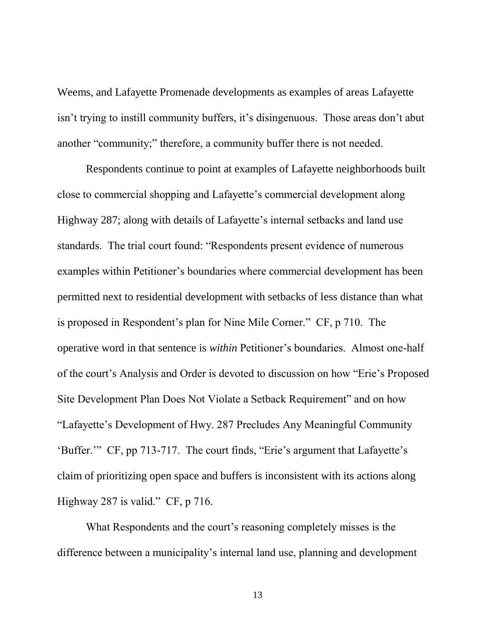Weems, and Lafayette Promenade developments as examples of areas Lafayette isn't trying to instill community buffers, it's disingenuous. Those areas don't abut another "community;" therefore, a community buffer there is not needed.

Respondents continue to point at examples of Lafayette neighborhoods built close to commercial shopping and Lafayette's commercial development along Highway 287; along with details of Lafayette's internal setbacks and land use standards. The trial court found: "Respondents present evidence of numerous examples within Petitioner's boundaries where commercial development has been permitted next to residential development with setbacks of less distance than what is proposed in Respondent's plan for Nine Mile Corner." CF, p 710. The operative word in that sentence is *within* Petitioner's boundaries. Almost one-half of the court's Analysis and Order is devoted to discussion on how "Erie's Proposed Site Development Plan Does Not Violate a Setback Requirement" and on how "Lafayette's Development of Hwy. 287 Precludes Any Meaningful Community 'Buffer.'" CF, pp 713-717. The court finds, "Erie's argument that Lafayette's claim of prioritizing open space and buffers is inconsistent with its actions along Highway 287 is valid." CF, p 716.

What Respondents and the court's reasoning completely misses is the difference between a municipality's internal land use, planning and development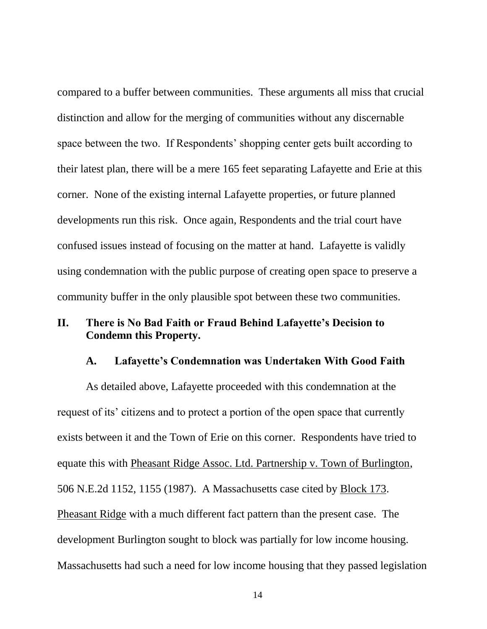compared to a buffer between communities. These arguments all miss that crucial distinction and allow for the merging of communities without any discernable space between the two. If Respondents' shopping center gets built according to their latest plan, there will be a mere 165 feet separating Lafayette and Erie at this corner. None of the existing internal Lafayette properties, or future planned developments run this risk. Once again, Respondents and the trial court have confused issues instead of focusing on the matter at hand. Lafayette is validly using condemnation with the public purpose of creating open space to preserve a community buffer in the only plausible spot between these two communities.

### **II. There is No Bad Faith or Fraud Behind Lafayette's Decision to Condemn this Property.**

#### **A. Lafayette's Condemnation was Undertaken With Good Faith**

As detailed above, Lafayette proceeded with this condemnation at the request of its' citizens and to protect a portion of the open space that currently exists between it and the Town of Erie on this corner. Respondents have tried to equate this with Pheasant Ridge Assoc. Ltd. Partnership v. Town of Burlington, 506 N.E.2d 1152, 1155 (1987). A Massachusetts case cited by Block 173. Pheasant Ridge with a much different fact pattern than the present case. The development Burlington sought to block was partially for low income housing. Massachusetts had such a need for low income housing that they passed legislation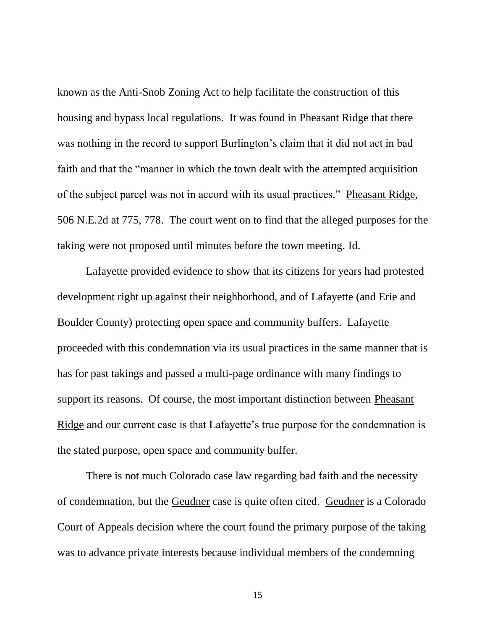known as the Anti-Snob Zoning Act to help facilitate the construction of this housing and bypass local regulations. It was found in Pheasant Ridge that there was nothing in the record to support Burlington's claim that it did not act in bad faith and that the "manner in which the town dealt with the attempted acquisition of the subject parcel was not in accord with its usual practices." Pheasant Ridge, 506 N.E.2d at 775, 778. The court went on to find that the alleged purposes for the taking were not proposed until minutes before the town meeting. Id.

Lafayette provided evidence to show that its citizens for years had protested development right up against their neighborhood, and of Lafayette (and Erie and Boulder County) protecting open space and community buffers. Lafayette proceeded with this condemnation via its usual practices in the same manner that is has for past takings and passed a multi-page ordinance with many findings to support its reasons. Of course, the most important distinction between Pheasant Ridge and our current case is that Lafayette's true purpose for the condemnation is the stated purpose, open space and community buffer.

There is not much Colorado case law regarding bad faith and the necessity of condemnation, but the Geudner case is quite often cited. Geudner is a Colorado Court of Appeals decision where the court found the primary purpose of the taking was to advance private interests because individual members of the condemning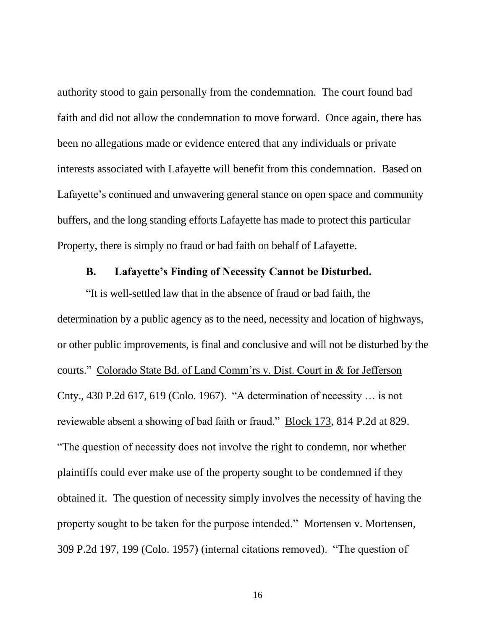authority stood to gain personally from the condemnation. The court found bad faith and did not allow the condemnation to move forward. Once again, there has been no allegations made or evidence entered that any individuals or private interests associated with Lafayette will benefit from this condemnation. Based on Lafayette's continued and unwavering general stance on open space and community buffers, and the long standing efforts Lafayette has made to protect this particular Property, there is simply no fraud or bad faith on behalf of Lafayette.

#### **B. Lafayette's Finding of Necessity Cannot be Disturbed.**

"It is well-settled law that in the absence of fraud or bad faith, the determination by a public agency as to the need, necessity and location of highways, or other public improvements, is final and conclusive and will not be disturbed by the courts." Colorado State Bd. of Land Comm'rs v. Dist. Court in & for Jefferson Cnty., 430 P.2d 617, 619 (Colo. 1967). "A determination of necessity … is not reviewable absent a showing of bad faith or fraud." Block 173, 814 P.2d at 829. "The question of necessity does not involve the right to condemn, nor whether plaintiffs could ever make use of the property sought to be condemned if they obtained it. The question of necessity simply involves the necessity of having the property sought to be taken for the purpose intended." Mortensen v. Mortensen, 309 P.2d 197, 199 (Colo. 1957) (internal citations removed). "The question of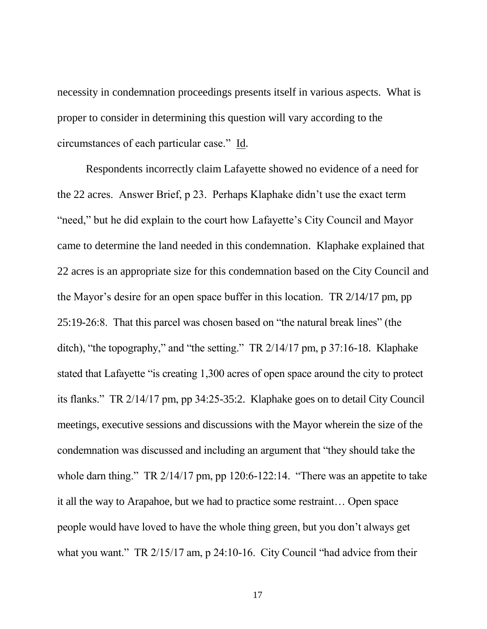necessity in condemnation proceedings presents itself in various aspects. What is proper to consider in determining this question will vary according to the circumstances of each particular case." Id.

Respondents incorrectly claim Lafayette showed no evidence of a need for the 22 acres. Answer Brief, p 23. Perhaps Klaphake didn't use the exact term "need," but he did explain to the court how Lafayette's City Council and Mayor came to determine the land needed in this condemnation. Klaphake explained that 22 acres is an appropriate size for this condemnation based on the City Council and the Mayor's desire for an open space buffer in this location. TR 2/14/17 pm, pp 25:19-26:8. That this parcel was chosen based on "the natural break lines" (the ditch), "the topography," and "the setting." TR 2/14/17 pm, p 37:16-18. Klaphake stated that Lafayette "is creating 1,300 acres of open space around the city to protect its flanks." TR 2/14/17 pm, pp 34:25-35:2. Klaphake goes on to detail City Council meetings, executive sessions and discussions with the Mayor wherein the size of the condemnation was discussed and including an argument that "they should take the whole darn thing." TR 2/14/17 pm, pp 120:6-122:14. "There was an appetite to take it all the way to Arapahoe, but we had to practice some restraint… Open space people would have loved to have the whole thing green, but you don't always get what you want." TR 2/15/17 am, p 24:10-16. City Council "had advice from their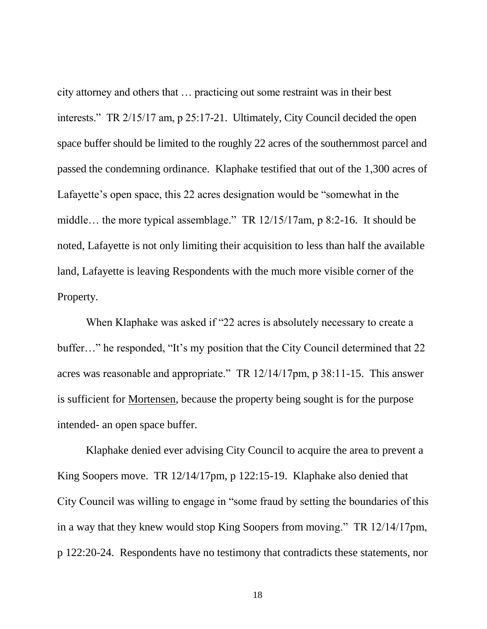city attorney and others that … practicing out some restraint was in their best interests." TR 2/15/17 am, p 25:17-21. Ultimately, City Council decided the open space buffer should be limited to the roughly 22 acres of the southernmost parcel and passed the condemning ordinance. Klaphake testified that out of the 1,300 acres of Lafayette's open space, this 22 acres designation would be "somewhat in the middle… the more typical assemblage." TR 12/15/17am, p 8:2-16. It should be noted, Lafayette is not only limiting their acquisition to less than half the available land, Lafayette is leaving Respondents with the much more visible corner of the Property.

When Klaphake was asked if "22 acres is absolutely necessary to create a buffer…" he responded, "It's my position that the City Council determined that 22 acres was reasonable and appropriate." TR 12/14/17pm, p 38:11-15. This answer is sufficient for Mortensen, because the property being sought is for the purpose intended- an open space buffer.

Klaphake denied ever advising City Council to acquire the area to prevent a King Soopers move. TR 12/14/17pm, p 122:15-19. Klaphake also denied that City Council was willing to engage in "some fraud by setting the boundaries of this in a way that they knew would stop King Soopers from moving." TR 12/14/17pm, p 122:20-24. Respondents have no testimony that contradicts these statements, nor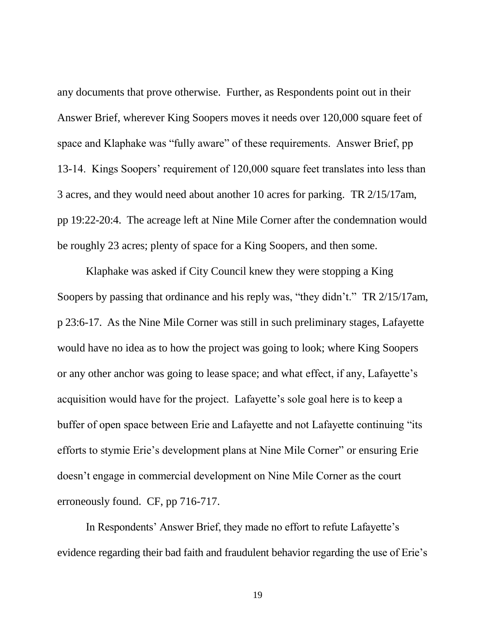any documents that prove otherwise. Further, as Respondents point out in their Answer Brief, wherever King Soopers moves it needs over 120,000 square feet of space and Klaphake was "fully aware" of these requirements. Answer Brief, pp 13-14. Kings Soopers' requirement of 120,000 square feet translates into less than 3 acres, and they would need about another 10 acres for parking. TR 2/15/17am, pp 19:22-20:4. The acreage left at Nine Mile Corner after the condemnation would be roughly 23 acres; plenty of space for a King Soopers, and then some.

Klaphake was asked if City Council knew they were stopping a King Soopers by passing that ordinance and his reply was, "they didn't." TR 2/15/17am, p 23:6-17. As the Nine Mile Corner was still in such preliminary stages, Lafayette would have no idea as to how the project was going to look; where King Soopers or any other anchor was going to lease space; and what effect, if any, Lafayette's acquisition would have for the project. Lafayette's sole goal here is to keep a buffer of open space between Erie and Lafayette and not Lafayette continuing "its efforts to stymie Erie's development plans at Nine Mile Corner" or ensuring Erie doesn't engage in commercial development on Nine Mile Corner as the court erroneously found. CF, pp 716-717.

In Respondents' Answer Brief, they made no effort to refute Lafayette's evidence regarding their bad faith and fraudulent behavior regarding the use of Erie's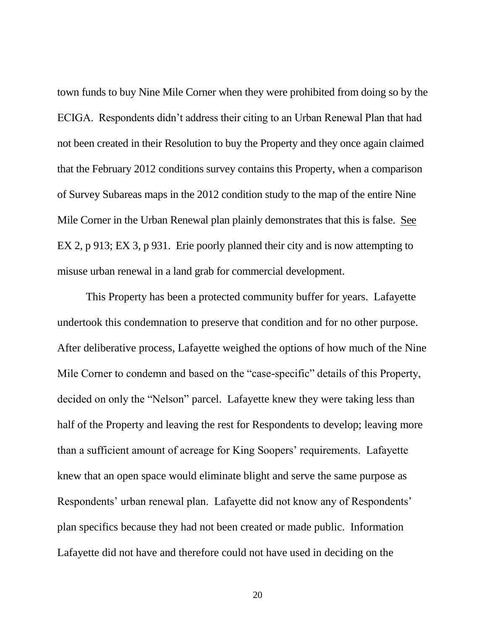town funds to buy Nine Mile Corner when they were prohibited from doing so by the ECIGA. Respondents didn't address their citing to an Urban Renewal Plan that had not been created in their Resolution to buy the Property and they once again claimed that the February 2012 conditions survey contains this Property, when a comparison of Survey Subareas maps in the 2012 condition study to the map of the entire Nine Mile Corner in the Urban Renewal plan plainly demonstrates that this is false. See EX 2, p 913; EX 3, p 931. Erie poorly planned their city and is now attempting to misuse urban renewal in a land grab for commercial development.

This Property has been a protected community buffer for years. Lafayette undertook this condemnation to preserve that condition and for no other purpose. After deliberative process, Lafayette weighed the options of how much of the Nine Mile Corner to condemn and based on the "case-specific" details of this Property, decided on only the "Nelson" parcel. Lafayette knew they were taking less than half of the Property and leaving the rest for Respondents to develop; leaving more than a sufficient amount of acreage for King Soopers' requirements. Lafayette knew that an open space would eliminate blight and serve the same purpose as Respondents' urban renewal plan. Lafayette did not know any of Respondents' plan specifics because they had not been created or made public. Information Lafayette did not have and therefore could not have used in deciding on the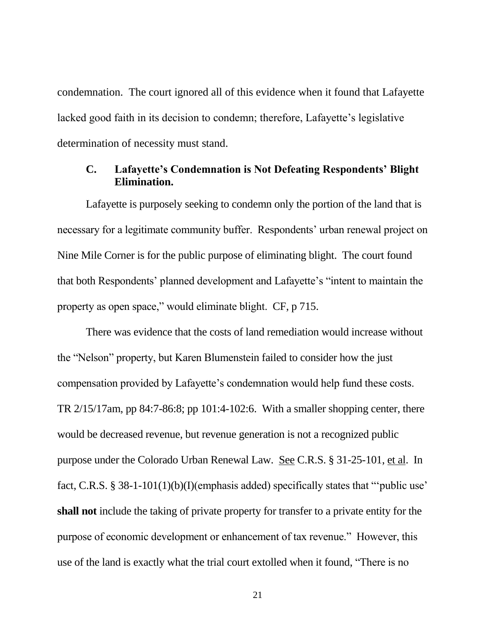condemnation. The court ignored all of this evidence when it found that Lafayette lacked good faith in its decision to condemn; therefore, Lafayette's legislative determination of necessity must stand.

### **C. Lafayette's Condemnation is Not Defeating Respondents' Blight Elimination.**

Lafayette is purposely seeking to condemn only the portion of the land that is necessary for a legitimate community buffer. Respondents' urban renewal project on Nine Mile Corner is for the public purpose of eliminating blight. The court found that both Respondents' planned development and Lafayette's "intent to maintain the property as open space," would eliminate blight. CF, p 715.

There was evidence that the costs of land remediation would increase without the "Nelson" property, but Karen Blumenstein failed to consider how the just compensation provided by Lafayette's condemnation would help fund these costs. TR 2/15/17am, pp 84:7-86:8; pp 101:4-102:6. With a smaller shopping center, there would be decreased revenue, but revenue generation is not a recognized public purpose under the Colorado Urban Renewal Law. See C.R.S. § 31-25-101, et al. In fact, C.R.S. § 38-1-101(1)(b)(I)(emphasis added) specifically states that "'public use' **shall not** include the taking of private property for transfer to a private entity for the purpose of economic development or enhancement of tax revenue." However, this use of the land is exactly what the trial court extolled when it found, "There is no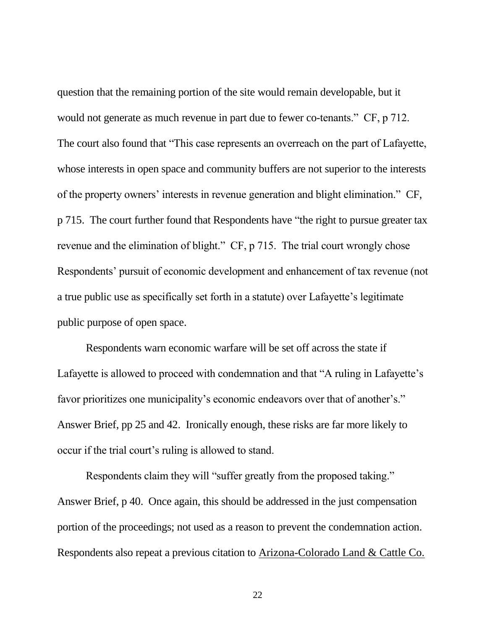question that the remaining portion of the site would remain developable, but it would not generate as much revenue in part due to fewer co-tenants." CF, p 712. The court also found that "This case represents an overreach on the part of Lafayette, whose interests in open space and community buffers are not superior to the interests of the property owners' interests in revenue generation and blight elimination." CF, p 715. The court further found that Respondents have "the right to pursue greater tax revenue and the elimination of blight." CF, p 715. The trial court wrongly chose Respondents' pursuit of economic development and enhancement of tax revenue (not a true public use as specifically set forth in a statute) over Lafayette's legitimate public purpose of open space.

Respondents warn economic warfare will be set off across the state if Lafayette is allowed to proceed with condemnation and that "A ruling in Lafayette's favor prioritizes one municipality's economic endeavors over that of another's." Answer Brief, pp 25 and 42. Ironically enough, these risks are far more likely to occur if the trial court's ruling is allowed to stand.

Respondents claim they will "suffer greatly from the proposed taking." Answer Brief, p 40. Once again, this should be addressed in the just compensation portion of the proceedings; not used as a reason to prevent the condemnation action. Respondents also repeat a previous citation to Arizona-Colorado Land & Cattle Co.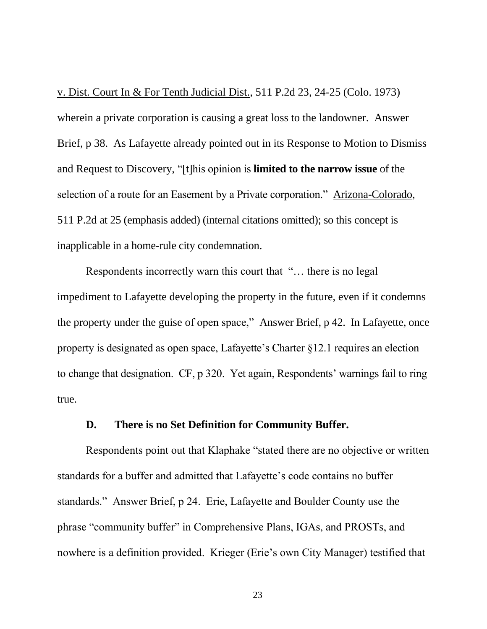v. Dist. Court In & For Tenth Judicial Dist., 511 P.2d 23, 24-25 (Colo. 1973) wherein a private corporation is causing a great loss to the landowner. Answer Brief, p 38. As Lafayette already pointed out in its Response to Motion to Dismiss and Request to Discovery, "[t]his opinion is **limited to the narrow issue** of the selection of a route for an Easement by a Private corporation." Arizona-Colorado, 511 P.2d at 25 (emphasis added) (internal citations omitted); so this concept is inapplicable in a home-rule city condemnation.

Respondents incorrectly warn this court that "… there is no legal impediment to Lafayette developing the property in the future, even if it condemns the property under the guise of open space," Answer Brief, p 42. In Lafayette, once property is designated as open space, Lafayette's Charter §12.1 requires an election to change that designation. CF, p 320. Yet again, Respondents' warnings fail to ring true.

#### **D. There is no Set Definition for Community Buffer.**

Respondents point out that Klaphake "stated there are no objective or written standards for a buffer and admitted that Lafayette's code contains no buffer standards." Answer Brief, p 24. Erie, Lafayette and Boulder County use the phrase "community buffer" in Comprehensive Plans, IGAs, and PROSTs, and nowhere is a definition provided. Krieger (Erie's own City Manager) testified that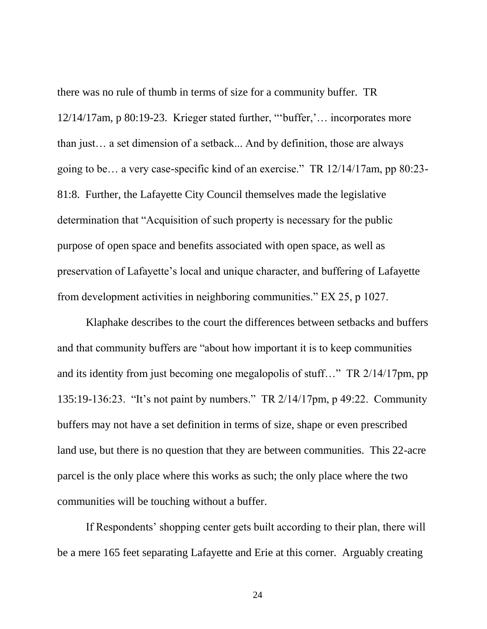there was no rule of thumb in terms of size for a community buffer. TR 12/14/17am, p 80:19-23. Krieger stated further, "'buffer,'… incorporates more than just… a set dimension of a setback... And by definition, those are always going to be… a very case-specific kind of an exercise." TR 12/14/17am, pp 80:23- 81:8. Further, the Lafayette City Council themselves made the legislative determination that "Acquisition of such property is necessary for the public purpose of open space and benefits associated with open space, as well as preservation of Lafayette's local and unique character, and buffering of Lafayette from development activities in neighboring communities." EX 25, p 1027.

Klaphake describes to the court the differences between setbacks and buffers and that community buffers are "about how important it is to keep communities and its identity from just becoming one megalopolis of stuff…" TR 2/14/17pm, pp 135:19-136:23. "It's not paint by numbers." TR 2/14/17pm, p 49:22. Community buffers may not have a set definition in terms of size, shape or even prescribed land use, but there is no question that they are between communities. This 22-acre parcel is the only place where this works as such; the only place where the two communities will be touching without a buffer.

If Respondents' shopping center gets built according to their plan, there will be a mere 165 feet separating Lafayette and Erie at this corner. Arguably creating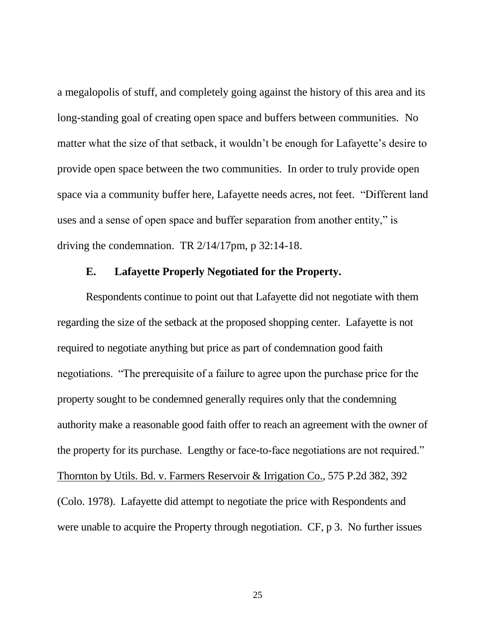a megalopolis of stuff, and completely going against the history of this area and its long-standing goal of creating open space and buffers between communities. No matter what the size of that setback, it wouldn't be enough for Lafayette's desire to provide open space between the two communities. In order to truly provide open space via a community buffer here, Lafayette needs acres, not feet. "Different land uses and a sense of open space and buffer separation from another entity," is driving the condemnation. TR 2/14/17pm, p 32:14-18.

#### **E. Lafayette Properly Negotiated for the Property.**

Respondents continue to point out that Lafayette did not negotiate with them regarding the size of the setback at the proposed shopping center. Lafayette is not required to negotiate anything but price as part of condemnation good faith negotiations. "The prerequisite of a failure to agree upon the purchase price for the property sought to be condemned generally requires only that the condemning authority make a reasonable good faith offer to reach an agreement with the owner of the property for its purchase. Lengthy or face-to-face negotiations are not required." Thornton by Utils. Bd. v. Farmers Reservoir & Irrigation Co., 575 P.2d 382, 392 (Colo. 1978). Lafayette did attempt to negotiate the price with Respondents and were unable to acquire the Property through negotiation. CF, p 3. No further issues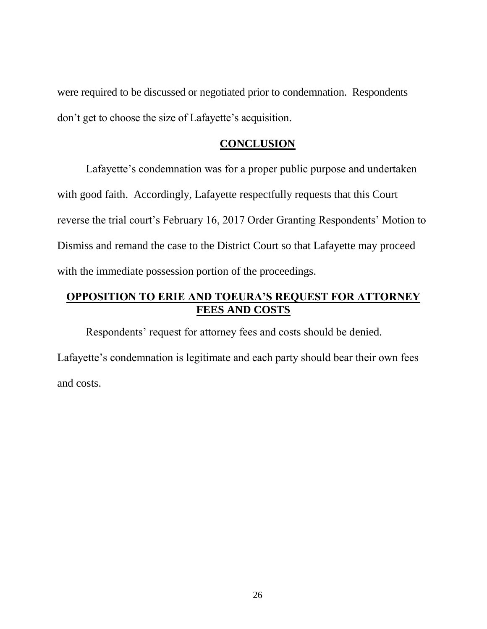were required to be discussed or negotiated prior to condemnation. Respondents don't get to choose the size of Lafayette's acquisition.

#### **CONCLUSION**

Lafayette's condemnation was for a proper public purpose and undertaken with good faith. Accordingly, Lafayette respectfully requests that this Court reverse the trial court's February 16, 2017 Order Granting Respondents' Motion to Dismiss and remand the case to the District Court so that Lafayette may proceed with the immediate possession portion of the proceedings.

### **OPPOSITION TO ERIE AND TOEURA'S REQUEST FOR ATTORNEY FEES AND COSTS**

Respondents' request for attorney fees and costs should be denied. Lafayette's condemnation is legitimate and each party should bear their own fees and costs.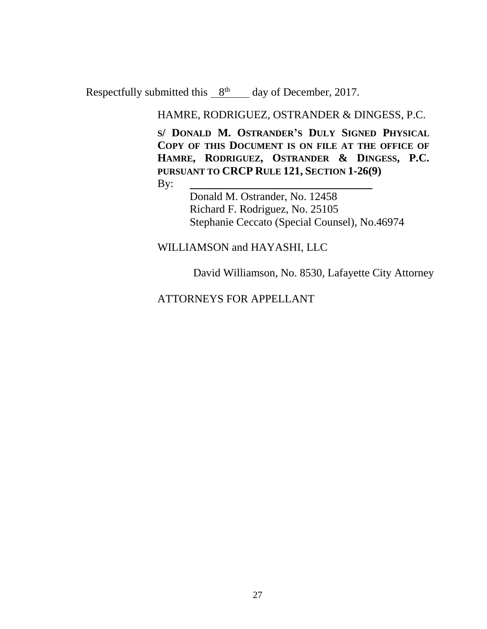Respectfully submitted this  $8<sup>th</sup>$  day of December, 2017.

HAMRE, RODRIGUEZ, OSTRANDER & DINGESS, P.C.

**S/ DONALD M. OSTRANDER'S DULY SIGNED PHYSICAL COPY OF THIS DOCUMENT IS ON FILE AT THE OFFICE OF HAMRE, RODRIGUEZ, OSTRANDER & DINGESS, P.C. PURSUANT TO CRCP RULE 121, SECTION 1-26(9)**

By:

Donald M. Ostrander, No. 12458 Richard F. Rodriguez, No. 25105 Stephanie Ceccato (Special Counsel), No.46974

#### WILLIAMSON and HAYASHI, LLC

David Williamson, No. 8530, Lafayette City Attorney

### ATTORNEYS FOR APPELLANT